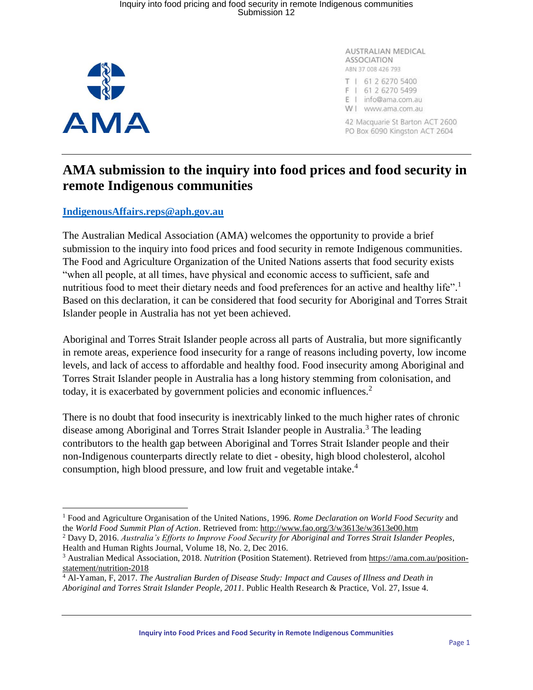## Inquiry into food pricing and food security in remote Indigenous communities Submission 12



 $\overline{a}$ 

AUSTRALIAN MEDICAL ASSOCIATION ABN 37 008 426 793

- T | 61 2 6270 5400 F | 61 2 6270 5499 E | info@ama.com.au
- W | www.ama.com.au

42 Macquarie St Barton ACT 2600 PO Box 6090 Kingston ACT 2604

## **AMA submission to the inquiry into food prices and food security in remote Indigenous communities**

## **[IndigenousAffairs.reps@aph.gov.au](mailto:IndigenousAffairs.reps@aph.gov.au)**

The Australian Medical Association (AMA) welcomes the opportunity to provide a brief submission to the inquiry into food prices and food security in remote Indigenous communities. The Food and Agriculture Organization of the United Nations asserts that food security exists "when all people, at all times, have physical and economic access to sufficient, safe and nutritious food to meet their dietary needs and food preferences for an active and healthy life".<sup>1</sup> Based on this declaration, it can be considered that food security for Aboriginal and Torres Strait Islander people in Australia has not yet been achieved.

Aboriginal and Torres Strait Islander people across all parts of Australia, but more significantly in remote areas, experience food insecurity for a range of reasons including poverty, low income levels, and lack of access to affordable and healthy food. Food insecurity among Aboriginal and Torres Strait Islander people in Australia has a long history stemming from colonisation, and today, it is exacerbated by government policies and economic influences.<sup>2</sup>

There is no doubt that food insecurity is inextricably linked to the much higher rates of chronic disease among Aboriginal and Torres Strait Islander people in Australia. <sup>3</sup> The leading contributors to the health gap between Aboriginal and Torres Strait Islander people and their non-Indigenous counterparts directly relate to diet - obesity, high blood cholesterol, alcohol consumption, high blood pressure, and low fruit and vegetable intake.<sup>4</sup>

<sup>1</sup> [Food and Agriculture Organisation of the United Nations, 1996.](https://healthinfonet.ecu.edu.au/key-resources/publications/33763/?title=Rome+Declaration+on+World+Food+Security+and+the+World+Food+Summit+Plan+of+Action&contentid=33763_1) *Rome Declaration on World Food Security* and the *[World Food Summit Plan of Action](https://healthinfonet.ecu.edu.au/key-resources/publications/33763/?title=Rome+Declaration+on+World+Food+Security+and+the+World+Food+Summit+Plan+of+Action&contentid=33763_1)*. Retrieved from: <http://www.fao.org/3/w3613e/w3613e00.htm>

<sup>2</sup> Davy D, 2016. *Australia's Efforts to Improve Food Security for Aboriginal and Torres Strait Islander Peoples*, Health and Human Rights Journal, Volume 18, No. 2, Dec 2016.

<sup>3</sup> Australian Medical Association, 2018. *Nutrition* (Position Statement). Retrieved from [https://ama.com.au/position](https://ama.com.au/position-statement/nutrition-2018)[statement/nutrition-2018](https://ama.com.au/position-statement/nutrition-2018)

<sup>4</sup> Al-Yaman, F, 2017. *[The Australian Burden of Disease Study: Impact and Causes of Illness and Death in](https://amampco-my.sharepoint.com/personal/amerritt_ama_com_au/Documents/Al-Yaman,%20F.%20(2017).%20The%20Australian%20Burden%20of%20Disease%20Study:%20impact%20and%20causes%20of%20illness%20and%20death%20in%20Aboriginal%20and%20Torres%20Strait%20Islander%20people,%202011. Public%20Health%20Research%20&%20Practice,%2027(4).%20Retrieved%20from: )  Aboriginal and Torres Strait Islander People, 2011*. [Public Health Research & Practice, Vol. 27, Issue 4.](https://amampco-my.sharepoint.com/personal/amerritt_ama_com_au/Documents/Al-Yaman,%20F.%20(2017).%20The%20Australian%20Burden%20of%20Disease%20Study:%20impact%20and%20causes%20of%20illness%20and%20death%20in%20Aboriginal%20and%20Torres%20Strait%20Islander%20people,%202011. Public%20Health%20Research%20&%20Practice,%2027(4).%20Retrieved%20from: )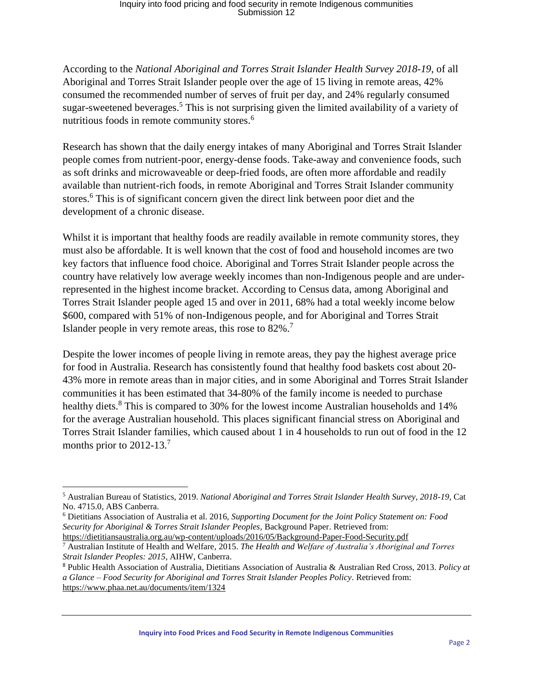## Inquiry into food pricing and food security in remote Indigenous communities Submission 12

According to the *National Aboriginal and Torres Strait Islander Health Survey 2018-19*, of all Aboriginal and Torres Strait Islander people over the age of 15 living in remote areas, 42% consumed the recommended number of serves of fruit per day, and 24% regularly consumed sugar-sweetened beverages.<sup>5</sup> This is not surprising given the limited availability of a variety of nutritious foods in remote community stores. 6

Research has shown that the daily energy intakes of many Aboriginal and Torres Strait Islander people comes from nutrient-poor, energy-dense foods. Take-away and convenience foods, such as soft drinks and microwaveable or deep-fried foods, are often more affordable and readily available than nutrient-rich foods, in remote Aboriginal and Torres Strait Islander community stores. <sup>6</sup> This is of significant concern given the direct link between poor diet and the development of a chronic disease.

Whilst it is important that healthy foods are readily available in remote community stores, they must also be affordable. It is well known that the cost of food and household incomes are two key factors that influence food choice. Aboriginal and Torres Strait Islander people across the country have relatively low average weekly incomes than non-Indigenous people and are underrepresented in the highest income bracket. According to Census data, among Aboriginal and Torres Strait Islander people aged 15 and over in 2011, 68% had a total weekly income below \$600, compared with 51% of non-Indigenous people, and for Aboriginal and Torres Strait Islander people in very remote areas, this rose to 82%.<sup>7</sup>

Despite the lower incomes of people living in remote areas, they pay the highest average price for food in Australia. Research has consistently found that healthy food baskets cost about 20- 43% more in remote areas than in major cities, and in some Aboriginal and Torres Strait Islander communities it has been estimated that 34-80% of the family income is needed to purchase healthy diets.<sup>8</sup> This is compared to 30% for the lowest income Australian households and 14% for the average Australian household. This places significant financial stress on Aboriginal and Torres Strait Islander families, which caused about 1 in 4 households to run out of food in the 12 months prior to 2012-13.<sup>7</sup>

 $\overline{a}$ 

<sup>5</sup> [Australian](https://www.abs.gov.au/AUSSTATS/abs@.nsf/Latestproducts/4715.0Main%20Features12018-19?opendocument&tabname=Summary&prodno=4715.0&issue=2018-19&num=&view=) Bureau of Statistics, 2019. *National Aboriginal and Torres Strait Islander Health Survey, 2018-19,* Cat No. 4715.0, ABS Canberra.

<sup>6</sup> Dietitians Association of Australia et al. 2016, *Supporting Document for the Joint Policy Statement on: Food Security for Aboriginal & Torres Strait Islander Peoples,* Background Paper. Retrieved from: <https://dietitiansaustralia.org.au/wp-content/uploads/2016/05/Background-Paper-Food-Security.pdf>

<sup>7</sup> Australian Institute of Health and Welfare, 2015. *The Health and Welfare of Australia's Aboriginal and Torres Strait Islander Peoples: 2015*, AIHW, Canberra.

<sup>8</sup> Public Health Association of Australia, Dietitians Association of Australia & Australian Red Cross, 2013. *Policy at a Glance – Food Security for Aboriginal and Torres Strait Islander Peoples Policy.* Retrieved from: <https://www.phaa.net.au/documents/item/1324>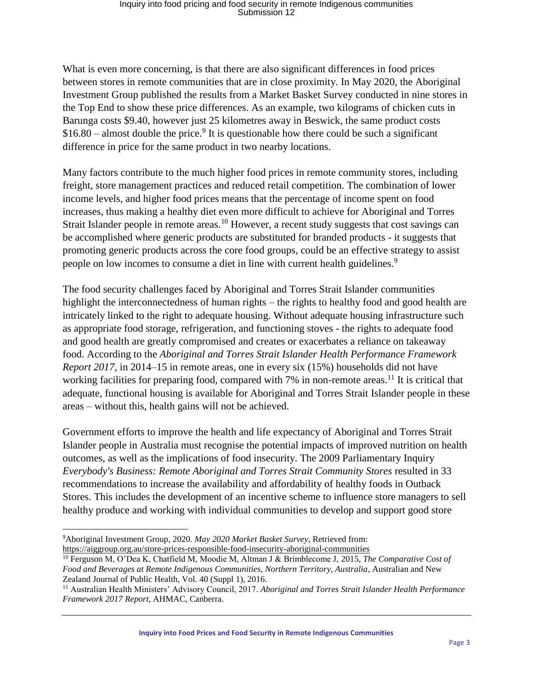What is even more concerning, is that there are also significant differences in food prices between stores in remote communities that are in close proximity. In May 2020, the Aboriginal Investment Group published the results from a Market Basket Survey conducted in nine stores in the Top End to show these price differences. As an example, two kilograms of chicken cuts in Barunga costs \$9.40, however just 25 kilometres away in Beswick, the same product costs  $$16.80$  – almost double the price.<sup>9</sup> It is questionable how there could be such a significant difference in price for the same product in two nearby locations.

Many factors contribute to the much higher food prices in remote community stores, including freight, store management practices and reduced retail competition. The combination of lower income levels, and higher food prices means that the percentage of income spent on food increases, thus making a healthy diet even more difficult to achieve for Aboriginal and Torres Strait Islander people in remote areas.<sup>10</sup> However, a recent study suggests that cost savings can be accomplished where generic products are substituted for branded products - it suggests that promoting generic products across the core food groups, could be an effective strategy to assist people on low incomes to consume a diet in line with current health guidelines.<sup>9</sup>

The food security challenges faced by Aboriginal and Torres Strait Islander communities highlight the interconnectedness of human rights – the rights to healthy food and good health are intricately linked to the right to adequate housing. Without adequate housing infrastructure such as appropriate food storage, refrigeration, and functioning stoves - the rights to adequate food and good health are greatly compromised and creates or exacerbates a reliance on takeaway food. According to the *Aboriginal and Torres Strait Islander Health Performance Framework Report 2017*, in 2014–15 in remote areas, one in every six (15%) households did not have working facilities for preparing food, compared with  $7\%$  in non-remote areas.<sup>11</sup> It is critical that adequate, functional housing is available for Aboriginal and Torres Strait Islander people in these areas – without this, health gains will not be achieved.

Government efforts to improve the health and life expectancy of Aboriginal and Torres Strait Islander people in Australia must recognise the potential impacts of improved nutrition on health outcomes, as well as the implications of food insecurity. The 2009 Parliamentary Inquiry *Everybody's Business: Remote Aboriginal and Torres Strait Community Stores* resulted in 33 recommendations to increase the availability and affordability of healthy foods in Outback Stores. This includes the development of an incentive scheme to influence store managers to sell healthy produce and working with individual communities to develop and support good store

**Inquiry into Food Prices and Food Security in Remote Indigenous Communities**

 $\overline{\phantom{a}}$ <sup>9</sup>Aboriginal Investment Group, 2020. *May 2020 Market Basket Survey*, Retrieved from: <https://aiggroup.org.au/store-prices-responsible-food-insecurity-aboriginal-communities>

<sup>10</sup> [Ferguson](file:///C:/Users/amerritt/Downloads/the-comparative-cost-of-food-and-beverages-at-remote-indigenous-communities-northern-territory-australia%20(1).pdf) M, O'Dea K, Chatfield M, Moodie M, Altman J & Brimblecome J, 2015, *The Comparative Cost of Food and Beverages at Remote Indigenous Communities, Northern Territory, Australia,* Australian and New Zealand Journal of Public Health, Vol. 40 (Suppl 1), 2016.

<sup>11</sup> Australian Health Ministers' Advisory Council, 2017. *Aboriginal and Torres Strait Islander Health Performance Framework 2017 Report*, AHMAC, Canberra.